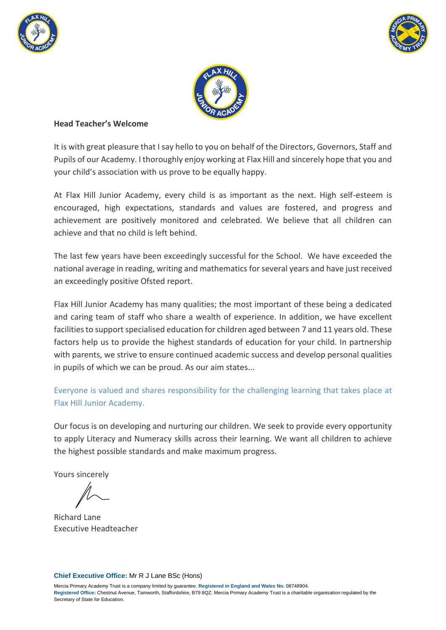





#### **Head Teacher's Welcome**

It is with great pleasure that I say hello to you on behalf of the Directors, Governors, Staff and Pupils of our Academy. I thoroughly enjoy working at Flax Hill and sincerely hope that you and your child's association with us prove to be equally happy.

At Flax Hill Junior Academy, every child is as important as the next. High self-esteem is encouraged, high expectations, standards and values are fostered, and progress and achievement are positively monitored and celebrated. We believe that all children can achieve and that no child is left behind.

The last few years have been exceedingly successful for the School. We have exceeded the national average in reading, writing and mathematics for several years and have just received an exceedingly positive Ofsted report.

Flax Hill Junior Academy has many qualities; the most important of these being a dedicated and caring team of staff who share a wealth of experience. In addition, we have excellent facilities to support specialised education for children aged between 7 and 11 years old. These factors help us to provide the highest standards of education for your child. In partnership with parents, we strive to ensure continued academic success and develop personal qualities in pupils of which we can be proud. As our aim states...

Everyone is valued and shares responsibility for the challenging learning that takes place at Flax Hill Junior Academy.

Our focus is on developing and nurturing our children. We seek to provide every opportunity to apply Literacy and Numeracy skills across their learning. We want all children to achieve the highest possible standards and make maximum progress.

Yours sincerely

Richard Lane Executive Headteacher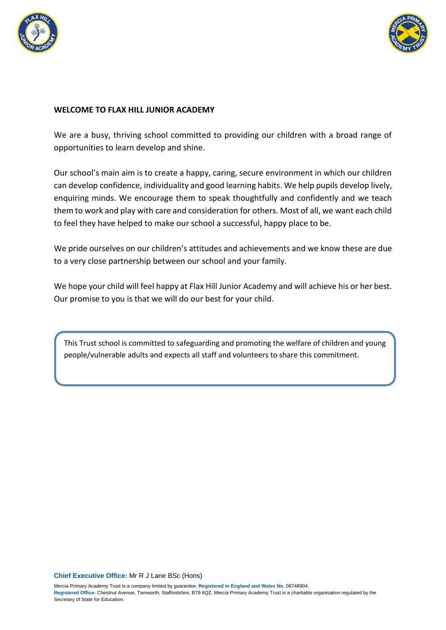



### **WELCOME TO FLAX HILL JUNIOR ACADEMY**

We are a busy, thriving school committed to providing our children with a broad range of opportunities to learn develop and shine.

Our school's main aim is to create a happy, caring, secure environment in which our children can develop confidence, individuality and good learning habits. We help pupils develop lively, enquiring minds. We encourage them to speak thoughtfully and confidently and we teach them to work and play with care and consideration for others. Most of all, we want each child to feel they have helped to make our school a successful, happy place to be.

We pride ourselves on our children's attitudes and achievements and we know these are due to a very close partnership between our school and your family.

We hope your child will feel happy at Flax Hill Junior Academy and will achieve his or her best. Our promise to you is that we will do our best for your child.

This Trust school is committed to safeguarding and promoting the welfare of children and young people/vulnerable adults and expects all staff and volunteers to share this commitment.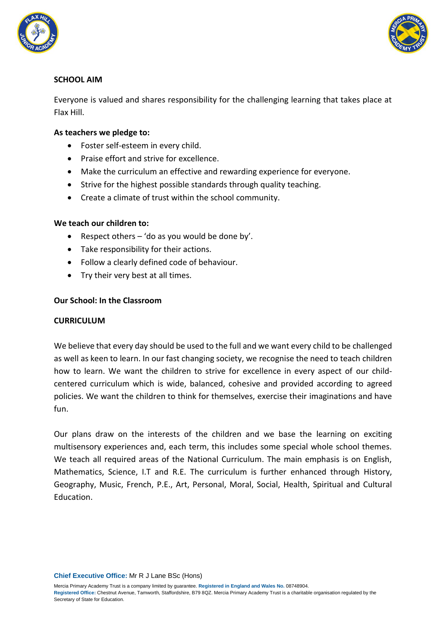



# **SCHOOL AIM**

Everyone is valued and shares responsibility for the challenging learning that takes place at Flax Hill.

## **As teachers we pledge to:**

- Foster self-esteem in every child.
- Praise effort and strive for excellence.
- Make the curriculum an effective and rewarding experience for everyone.
- Strive for the highest possible standards through quality teaching.
- Create a climate of trust within the school community.

#### **We teach our children to:**

- **•** Respect others  $-$  'do as you would be done by'.
- Take responsibility for their actions.
- Follow a clearly defined code of behaviour.
- Try their very best at all times.

#### **Our School: In the Classroom**

### **CURRICULUM**

We believe that every day should be used to the full and we want every child to be challenged as well as keen to learn. In our fast changing society, we recognise the need to teach children how to learn. We want the children to strive for excellence in every aspect of our childcentered curriculum which is wide, balanced, cohesive and provided according to agreed policies. We want the children to think for themselves, exercise their imaginations and have fun.

Our plans draw on the interests of the children and we base the learning on exciting multisensory experiences and, each term, this includes some special whole school themes. We teach all required areas of the National Curriculum. The main emphasis is on English, Mathematics, Science, I.T and R.E. The curriculum is further enhanced through History, Geography, Music, French, P.E., Art, Personal, Moral, Social, Health, Spiritual and Cultural Education.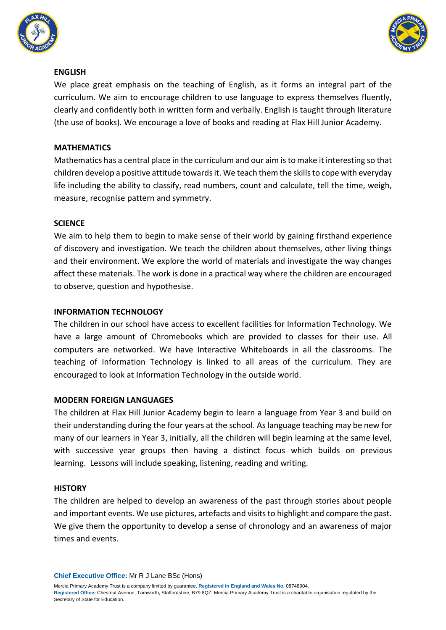



### **ENGLISH**

We place great emphasis on the teaching of English, as it forms an integral part of the curriculum. We aim to encourage children to use language to express themselves fluently, clearly and confidently both in written form and verbally. English is taught through literature (the use of books). We encourage a love of books and reading at Flax Hill Junior Academy.

## **MATHEMATICS**

Mathematics has a central place in the curriculum and our aim is to make it interesting so that children develop a positive attitude towards it. We teach them the skills to cope with everyday life including the ability to classify, read numbers, count and calculate, tell the time, weigh, measure, recognise pattern and symmetry.

### **SCIENCE**

We aim to help them to begin to make sense of their world by gaining firsthand experience of discovery and investigation. We teach the children about themselves, other living things and their environment. We explore the world of materials and investigate the way changes affect these materials. The work is done in a practical way where the children are encouraged to observe, question and hypothesise.

### **INFORMATION TECHNOLOGY**

The children in our school have access to excellent facilities for Information Technology. We have a large amount of Chromebooks which are provided to classes for their use. All computers are networked. We have Interactive Whiteboards in all the classrooms. The teaching of Information Technology is linked to all areas of the curriculum. They are encouraged to look at Information Technology in the outside world.

### **MODERN FOREIGN LANGUAGES**

The children at Flax Hill Junior Academy begin to learn a language from Year 3 and build on their understanding during the four years at the school. As language teaching may be new for many of our learners in Year 3, initially, all the children will begin learning at the same level, with successive year groups then having a distinct focus which builds on previous learning. Lessons will include speaking, listening, reading and writing.

### **HISTORY**

The children are helped to develop an awareness of the past through stories about people and important events. We use pictures, artefacts and visits to highlight and compare the past. We give them the opportunity to develop a sense of chronology and an awareness of major times and events.

**Chief Executive Office:** Mr R J Lane BSc (Hons)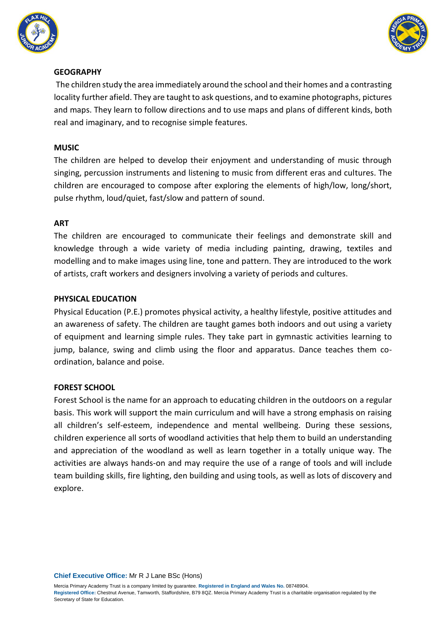



### **GEOGRAPHY**

The children study the area immediately around the school and their homes and a contrasting locality further afield. They are taught to ask questions, and to examine photographs, pictures and maps. They learn to follow directions and to use maps and plans of different kinds, both real and imaginary, and to recognise simple features.

## **MUSIC**

The children are helped to develop their enjoyment and understanding of music through singing, percussion instruments and listening to music from different eras and cultures. The children are encouraged to compose after exploring the elements of high/low, long/short, pulse rhythm, loud/quiet, fast/slow and pattern of sound.

### **ART**

The children are encouraged to communicate their feelings and demonstrate skill and knowledge through a wide variety of media including painting, drawing, textiles and modelling and to make images using line, tone and pattern. They are introduced to the work of artists, craft workers and designers involving a variety of periods and cultures.

# **PHYSICAL EDUCATION**

Physical Education (P.E.) promotes physical activity, a healthy lifestyle, positive attitudes and an awareness of safety. The children are taught games both indoors and out using a variety of equipment and learning simple rules. They take part in gymnastic activities learning to jump, balance, swing and climb using the floor and apparatus. Dance teaches them coordination, balance and poise.

# **FOREST SCHOOL**

Forest School is the name for an approach to educating children in the outdoors on a regular basis. This work will support the main curriculum and will have a strong emphasis on raising all children's self-esteem, independence and mental wellbeing. During these sessions, children experience all sorts of woodland activities that help them to build an understanding and appreciation of the woodland as well as learn together in a totally unique way. The activities are always hands-on and may require the use of a range of tools and will include team building skills, fire lighting, den building and using tools, as well as lots of discovery and explore.

**Chief Executive Office:** Mr R J Lane BSc (Hons)

Mercia Primary Academy Trust is a company limited by guarantee. **Registered in England and Wales No.** 08748904.

**Registered Office:** Chestnut Avenue, Tamworth, Staffordshire, B79 8QZ. Mercia Primary Academy Trust is a charitable organisation regulated by the Secretary of State for Education.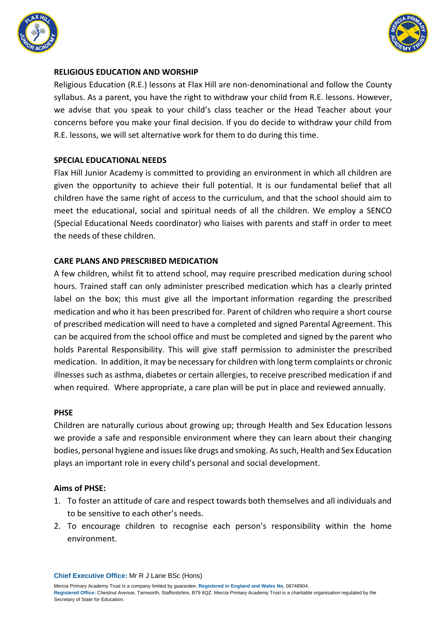



#### **RELIGIOUS EDUCATION AND WORSHIP**

Religious Education (R.E.) lessons at Flax Hill are non-denominational and follow the County syllabus. As a parent, you have the right to withdraw your child from R.E. lessons. However, we advise that you speak to your child's class teacher or the Head Teacher about your concerns before you make your final decision. If you do decide to withdraw your child from R.E. lessons, we will set alternative work for them to do during this time.

#### **SPECIAL EDUCATIONAL NEEDS**

Flax Hill Junior Academy is committed to providing an environment in which all children are given the opportunity to achieve their full potential. It is our fundamental belief that all children have the same right of access to the curriculum, and that the school should aim to meet the educational, social and spiritual needs of all the children. We employ a SENCO (Special Educational Needs coordinator) who liaises with parents and staff in order to meet the needs of these children.

### **CARE PLANS AND PRESCRIBED MEDICATION**

A few children, whilst fit to attend school, may require prescribed medication during school hours. Trained staff can only administer prescribed medication which has a clearly printed label on the box; this must give all the important information regarding the prescribed medication and who it has been prescribed for. Parent of children who require a short course of prescribed medication will need to have a completed and signed Parental Agreement. This can be acquired from the school office and must be completed and signed by the parent who holds Parental Responsibility. This will give staff permission to administer the prescribed medication. In addition, it may be necessary for children with long term complaints or chronic illnesses such as asthma, diabetes or certain allergies, to receive prescribed medication if and when required. Where appropriate, a care plan will be put in place and reviewed annually.

#### **PHSE**

Children are naturally curious about growing up; through Health and Sex Education lessons we provide a safe and responsible environment where they can learn about their changing bodies, personal hygiene and issues like drugs and smoking. As such, Health and Sex Education plays an important role in every child's personal and social development.

#### **Aims of PHSE:**

- 1. To foster an attitude of care and respect towards both themselves and all individuals and to be sensitive to each other's needs.
- 2. To encourage children to recognise each person's responsibility within the home environment.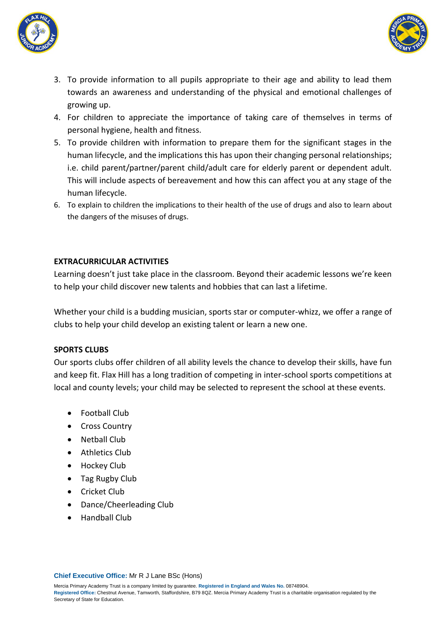



- 3. To provide information to all pupils appropriate to their age and ability to lead them towards an awareness and understanding of the physical and emotional challenges of growing up.
- 4. For children to appreciate the importance of taking care of themselves in terms of personal hygiene, health and fitness.
- 5. To provide children with information to prepare them for the significant stages in the human lifecycle, and the implications this has upon their changing personal relationships; i.e. child parent/partner/parent child/adult care for elderly parent or dependent adult. This will include aspects of bereavement and how this can affect you at any stage of the human lifecycle.
- 6. To explain to children the implications to their health of the use of drugs and also to learn about the dangers of the misuses of drugs.

### **EXTRACURRICULAR ACTIVITIES**

Learning doesn't just take place in the classroom. Beyond their academic lessons we're keen to help your child discover new talents and hobbies that can last a lifetime.

Whether your child is a budding musician, sports star or computer-whizz, we offer a range of clubs to help your child develop an existing talent or learn a new one.

### **SPORTS CLUBS**

Our sports clubs offer children of all ability levels the chance to develop their skills, have fun and keep fit. Flax Hill has a long tradition of competing in inter-school sports competitions at local and county levels; your child may be selected to represent the school at these events.

- Football Club
- Cross Country
- · Nethall Club
- Athletics Club
- Hockey Club
- Tag Rugby Club
- Cricket Club
- Dance/Cheerleading Club
- **•** Handball Club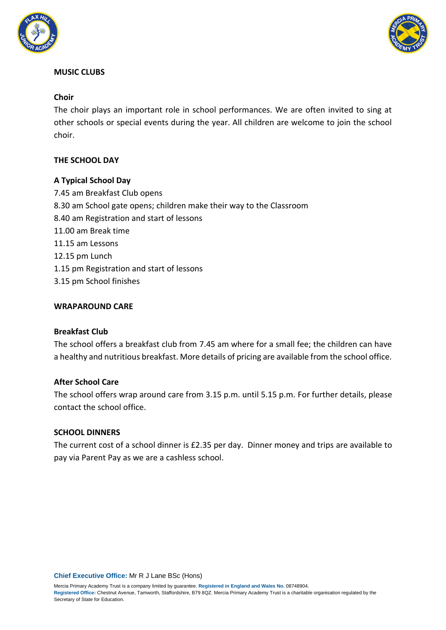



### **MUSIC CLUBS**

### **Choir**

The choir plays an important role in school performances. We are often invited to sing at other schools or special events during the year. All children are welcome to join the school choir.

# **THE SCHOOL DAY**

### **A Typical School Day**

7.45 am Breakfast Club opens 8.30 am School gate opens; children make their way to the Classroom 8.40 am Registration and start of lessons 11.00 am Break time 11.15 am Lessons 12.15 pm Lunch 1.15 pm Registration and start of lessons 3.15 pm School finishes

### **WRAPAROUND CARE**

### **Breakfast Club**

The school offers a breakfast club from 7.45 am where for a small fee; the children can have a healthy and nutritious breakfast. More details of pricing are available from the school office.

### **After School Care**

The school offers wrap around care from 3.15 p.m. until 5.15 p.m. For further details, please contact the school office.

### **SCHOOL DINNERS**

The current cost of a school dinner is £2.35 per day. Dinner money and trips are available to pay via Parent Pay as we are a cashless school.

**Chief Executive Office:** Mr R J Lane BSc (Hons)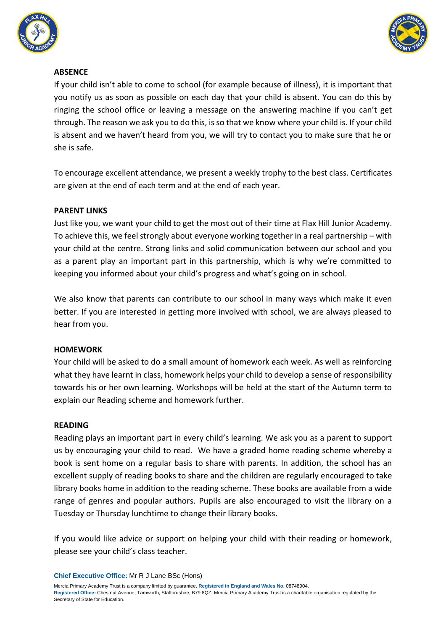



### **ABSENCE**

If your child isn't able to come to school (for example because of illness), it is important that you notify us as soon as possible on each day that your child is absent. You can do this by ringing the school office or leaving a message on the answering machine if you can't get through. The reason we ask you to do this, is so that we know where your child is. If your child is absent and we haven't heard from you, we will try to contact you to make sure that he or she is safe.

To encourage excellent attendance, we present a weekly trophy to the best class. Certificates are given at the end of each term and at the end of each year.

### **PARENT LINKS**

Just like you, we want your child to get the most out of their time at Flax Hill Junior Academy. To achieve this, we feel strongly about everyone working together in a real partnership – with your child at the centre. Strong links and solid communication between our school and you as a parent play an important part in this partnership, which is why we're committed to keeping you informed about your child's progress and what's going on in school.

We also know that parents can contribute to our school in many ways which make it even better. If you are interested in getting more involved with school, we are always pleased to hear from you.

### **HOMEWORK**

Your child will be asked to do a small amount of homework each week. As well as reinforcing what they have learnt in class, homework helps your child to develop a sense of responsibility towards his or her own learning. Workshops will be held at the start of the Autumn term to explain our Reading scheme and homework further.

### **READING**

Reading plays an important part in every child's learning. We ask you as a parent to support us by encouraging your child to read. We have a graded home reading scheme whereby a book is sent home on a regular basis to share with parents. In addition, the school has an excellent supply of reading books to share and the children are regularly encouraged to take library books home in addition to the reading scheme. These books are available from a wide range of genres and popular authors. Pupils are also encouraged to visit the library on a Tuesday or Thursday lunchtime to change their library books.

If you would like advice or support on helping your child with their reading or homework, please see your child's class teacher.

**Chief Executive Office:** Mr R J Lane BSc (Hons)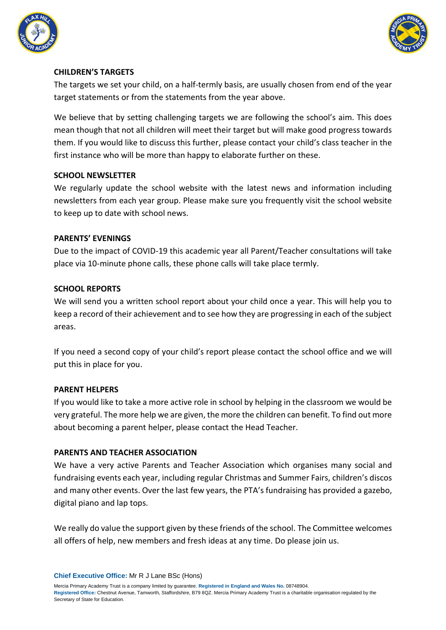



### **CHILDREN'S TARGETS**

The targets we set your child, on a half-termly basis, are usually chosen from end of the year target statements or from the statements from the year above.

We believe that by setting challenging targets we are following the school's aim. This does mean though that not all children will meet their target but will make good progress towards them. If you would like to discuss this further, please contact your child's class teacher in the first instance who will be more than happy to elaborate further on these.

### **SCHOOL NEWSLETTER**

We regularly update the school website with the latest news and information including newsletters from each year group. Please make sure you frequently visit the school website to keep up to date with school news.

### **PARENTS' EVENINGS**

Due to the impact of COVID-19 this academic year all Parent/Teacher consultations will take place via 10-minute phone calls, these phone calls will take place termly.

### **SCHOOL REPORTS**

We will send you a written school report about your child once a year. This will help you to keep a record of their achievement and to see how they are progressing in each of the subject areas.

If you need a second copy of your child's report please contact the school office and we will put this in place for you.

### **PARENT HELPERS**

If you would like to take a more active role in school by helping in the classroom we would be very grateful. The more help we are given, the more the children can benefit. To find out more about becoming a parent helper, please contact the Head Teacher.

### **PARENTS AND TEACHER ASSOCIATION**

We have a very active Parents and Teacher Association which organises many social and fundraising events each year, including regular Christmas and Summer Fairs, children's discos and many other events. Over the last few years, the PTA's fundraising has provided a gazebo, digital piano and lap tops.

We really do value the support given by these friends of the school. The Committee welcomes all offers of help, new members and fresh ideas at any time. Do please join us.

**Chief Executive Office:** Mr R J Lane BSc (Hons)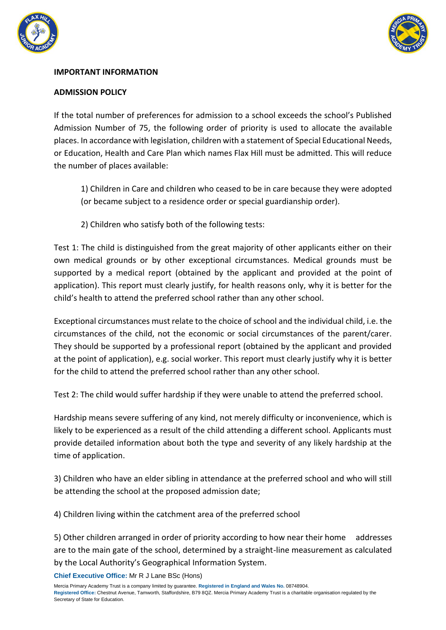



### **IMPORTANT INFORMATION**

### **ADMISSION POLICY**

If the total number of preferences for admission to a school exceeds the school's Published Admission Number of 75, the following order of priority is used to allocate the available places. In accordance with legislation, children with a statement of Special Educational Needs, or Education, Health and Care Plan which names Flax Hill must be admitted. This will reduce the number of places available:

1) Children in Care and children who ceased to be in care because they were adopted (or became subject to a residence order or special guardianship order).

2) Children who satisfy both of the following tests:

Test 1: The child is distinguished from the great majority of other applicants either on their own medical grounds or by other exceptional circumstances. Medical grounds must be supported by a medical report (obtained by the applicant and provided at the point of application). This report must clearly justify, for health reasons only, why it is better for the child's health to attend the preferred school rather than any other school.

Exceptional circumstances must relate to the choice of school and the individual child, i.e. the circumstances of the child, not the economic or social circumstances of the parent/carer. They should be supported by a professional report (obtained by the applicant and provided at the point of application), e.g. social worker. This report must clearly justify why it is better for the child to attend the preferred school rather than any other school.

Test 2: The child would suffer hardship if they were unable to attend the preferred school.

Hardship means severe suffering of any kind, not merely difficulty or inconvenience, which is likely to be experienced as a result of the child attending a different school. Applicants must provide detailed information about both the type and severity of any likely hardship at the time of application.

3) Children who have an elder sibling in attendance at the preferred school and who will still be attending the school at the proposed admission date;

4) Children living within the catchment area of the preferred school

5) Other children arranged in order of priority according to how near their home addresses are to the main gate of the school, determined by a straight-line measurement as calculated by the Local Authority's Geographical Information System.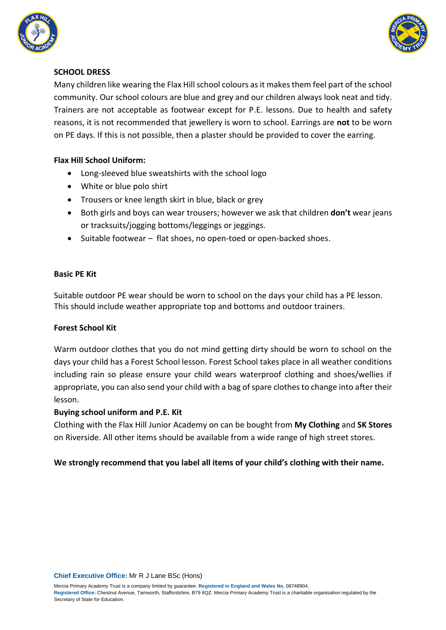



### **SCHOOL DRESS**

Many children like wearing the Flax Hill school colours as it makes them feel part of the school community. Our school colours are blue and grey and our children always look neat and tidy. Trainers are not acceptable as footwear except for P.E. lessons. Due to health and safety reasons, it is not recommended that jewellery is worn to school. Earrings are **not** to be worn on PE days. If this is not possible, then a plaster should be provided to cover the earring.

# **Flax Hill School Uniform:**

- Long-sleeved blue sweatshirts with the school logo
- White or blue polo shirt
- Trousers or knee length skirt in blue, black or grey
- Both girls and boys can wear trousers; however we ask that children **don't** wear jeans or tracksuits/jogging bottoms/leggings or jeggings.
- Suitable footwear flat shoes, no open-toed or open-backed shoes.

### **Basic PE Kit**

Suitable outdoor PE wear should be worn to school on the days your child has a PE lesson. This should include weather appropriate top and bottoms and outdoor trainers.

### **Forest School Kit**

Warm outdoor clothes that you do not mind getting dirty should be worn to school on the days your child has a Forest School lesson. Forest School takes place in all weather conditions including rain so please ensure your child wears waterproof clothing and shoes/wellies if appropriate, you can also send your child with a bag of spare clothes to change into after their lesson.

### **Buying school uniform and P.E. Kit**

Clothing with the Flax Hill Junior Academy on can be bought from **My Clothing** and **SK Stores** on Riverside. All other items should be available from a wide range of high street stores.

# **We strongly recommend that you label all items of your child's clothing with their name.**

**Chief Executive Office:** Mr R J Lane BSc (Hons)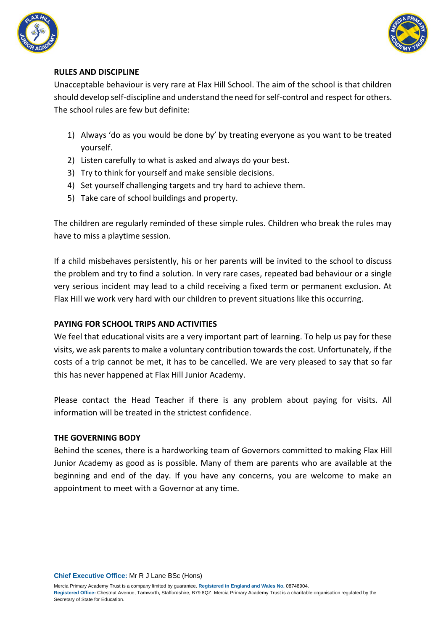



### **RULES AND DISCIPLINE**

Unacceptable behaviour is very rare at Flax Hill School. The aim of the school is that children should develop self-discipline and understand the need for self-control and respect for others. The school rules are few but definite:

- 1) Always 'do as you would be done by' by treating everyone as you want to be treated yourself.
- 2) Listen carefully to what is asked and always do your best.
- 3) Try to think for yourself and make sensible decisions.
- 4) Set yourself challenging targets and try hard to achieve them.
- 5) Take care of school buildings and property.

The children are regularly reminded of these simple rules. Children who break the rules may have to miss a playtime session.

If a child misbehaves persistently, his or her parents will be invited to the school to discuss the problem and try to find a solution. In very rare cases, repeated bad behaviour or a single very serious incident may lead to a child receiving a fixed term or permanent exclusion. At Flax Hill we work very hard with our children to prevent situations like this occurring.

### **PAYING FOR SCHOOL TRIPS AND ACTIVITIES**

We feel that educational visits are a very important part of learning. To help us pay for these visits, we ask parents to make a voluntary contribution towards the cost. Unfortunately, if the costs of a trip cannot be met, it has to be cancelled. We are very pleased to say that so far this has never happened at Flax Hill Junior Academy.

Please contact the Head Teacher if there is any problem about paying for visits. All information will be treated in the strictest confidence.

### **THE GOVERNING BODY**

Behind the scenes, there is a hardworking team of Governors committed to making Flax Hill Junior Academy as good as is possible. Many of them are parents who are available at the beginning and end of the day. If you have any concerns, you are welcome to make an appointment to meet with a Governor at any time.

**Chief Executive Office:** Mr R J Lane BSc (Hons)